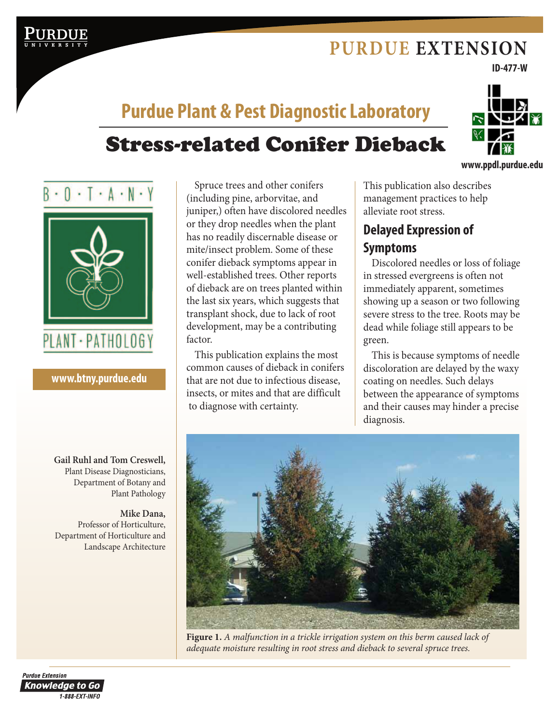# **PURDUE EXTENSION**

**ID-477-W**

# Stress-related Conifer Dieback **Purdue Plant & Pest Diagnostic Laboratory**



#### **www.btny.purdue.edu**

**Gail Ruhl and Tom Creswell,** Plant Disease Diagnosticians, Department of Botany and Plant Pathology

**Mike Dana,**  Professor of Horticulture, Department of Horticulture and Landscape Architecture

Spruce trees and other conifers (including pine, arborvitae, and juniper,) often have discolored needles or they drop needles when the plant has no readily discernable disease or mite/insect problem. Some of these conifer dieback symptoms appear in well-established trees. Other reports of dieback are on trees planted within the last six years, which suggests that transplant shock, due to lack of root development, may be a contributing factor.

This publication explains the most common causes of dieback in conifers that are not due to infectious disease, insects, or mites and that are difficult to diagnose with certainty.

This publication also describes management practices to help alleviate root stress.

## **Delayed Expression of Symptoms**

Discolored needles or loss of foliage in stressed evergreens is often not immediately apparent, sometimes showing up a season or two following severe stress to the tree. Roots may be dead while foliage still appears to be green.

This is because symptoms of needle discoloration are delayed by the waxy coating on needles. Such delays between the appearance of symptoms and their causes may hinder a precise diagnosis.



**Figure 1.** *A malfunction in a trickle irrigation system on this berm caused lack of adequate moisture resulting in root stress and dieback to several spruce trees.*

**Purdue Extension Knowledge to Go** 1-888-EXT-INFO

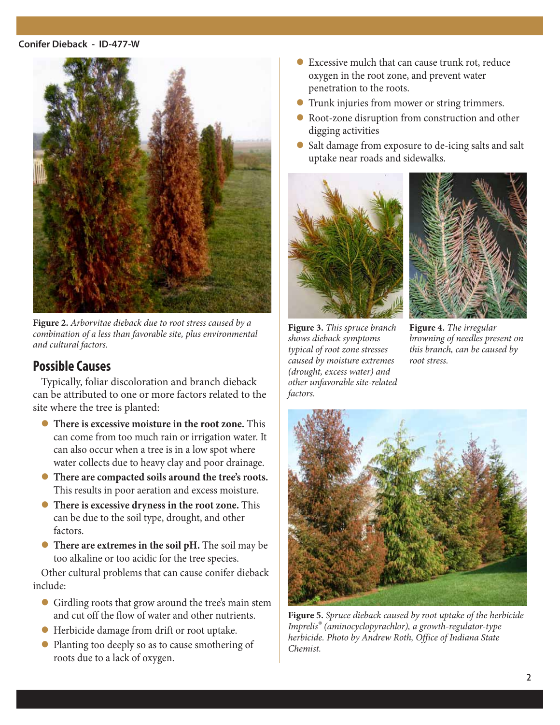#### **Conifer Dieback - ID-477-W**



**Figure 2.** *Arborvitae dieback due to root stress caused by a combination of a less than favorable site, plus environmental and cultural factors.*

### **Possible Causes**

Typically, foliar discoloration and branch dieback can be attributed to one or more factors related to the site where the tree is planted:

- **There is excessive moisture in the root zone.** This can come from too much rain or irrigation water. It can also occur when a tree is in a low spot where water collects due to heavy clay and poor drainage.
- l **There are compacted soils around the tree's roots.** This results in poor aeration and excess moisture.
- **There is excessive dryness in the root zone.** This can be due to the soil type, drought, and other factors.
- **There are extremes in the soil pH.** The soil may be too alkaline or too acidic for the tree species.

Other cultural problems that can cause conifer dieback include:

- l Girdling roots that grow around the tree's main stem and cut off the flow of water and other nutrients.
- l Herbicide damage from drift or root uptake.
- Planting too deeply so as to cause smothering of roots due to a lack of oxygen.
- $\bullet$  Excessive mulch that can cause trunk rot, reduce oxygen in the root zone, and prevent water penetration to the roots.
- l Trunk injuries from mower or string trimmers.
- Root-zone disruption from construction and other digging activities
- l Salt damage from exposure to de-icing salts and salt uptake near roads and sidewalks.





**Figure 3.** *This spruce branch shows dieback symptoms typical of root zone stresses caused by moisture extremes (drought, excess water) and other unfavorable site-related factors.*

**Figure 4.** *The irregular browning of needles present on this branch, can be caused by root stress.*



**Figure 5.** *Spruce dieback caused by root uptake of the herbicide Imprelis® (aminocyclopyrachlor), a growth-regulator-type herbicide. Photo by Andrew Roth, Office of Indiana State Chemist.*